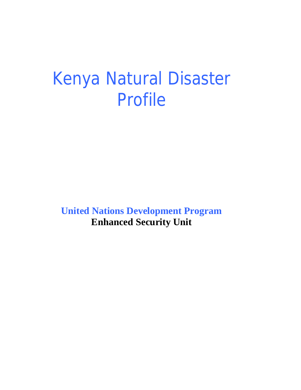# Kenya Natural Disaster Profile

**United Nations Development Program Enhanced Security Unit**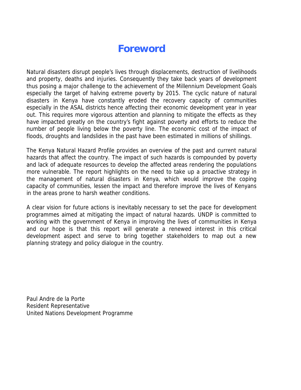# **Foreword**

Natural disasters disrupt people's lives through displacements, destruction of livelihoods and property, deaths and injuries. Consequently they take back years of development thus posing a major challenge to the achievement of the Millennium Development Goals especially the target of halving extreme poverty by 2015. The cyclic nature of natural disasters in Kenya have constantly eroded the recovery capacity of communities especially in the ASAL districts hence affecting their economic development year in year out. This requires more vigorous attention and planning to mitigate the effects as they have impacted greatly on the country's fight against poverty and efforts to reduce the number of people living below the poverty line. The economic cost of the impact of floods, droughts and landslides in the past have been estimated in millions of shillings.

The Kenya Natural Hazard Profile provides an overview of the past and current natural hazards that affect the country. The impact of such hazards is compounded by poverty and lack of adequate resources to develop the affected areas rendering the populations more vulnerable. The report highlights on the need to take up a proactive strategy in the management of natural disasters in Kenya, which would improve the coping capacity of communities, lessen the impact and therefore improve the lives of Kenyans in the areas prone to harsh weather conditions.

A clear vision for future actions is inevitably necessary to set the pace for development programmes aimed at mitigating the impact of natural hazards. UNDP is committed to working with the government of Kenya in improving the lives of communities in Kenya and our hope is that this report will generate a renewed interest in this critical development aspect and serve to bring together stakeholders to map out a new planning strategy and policy dialogue in the country.

Paul Andre de la Porte Resident Representative United Nations Development Programme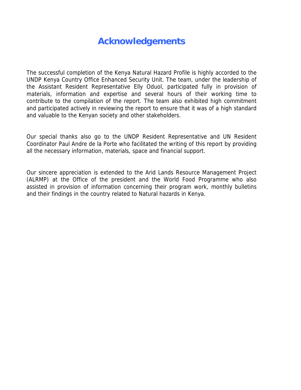# **Acknowledgements**

The successful completion of the Kenya Natural Hazard Profile is highly accorded to the UNDP Kenya Country Office Enhanced Security Unit. The team, under the leadership of the Assistant Resident Representative Elly Oduol, participated fully in provision of materials, information and expertise and several hours of their working time to contribute to the compilation of the report. The team also exhibited high commitment and participated actively in reviewing the report to ensure that it was of a high standard and valuable to the Kenyan society and other stakeholders.

Our special thanks also go to the UNDP Resident Representative and UN Resident Coordinator Paul Andre de la Porte who facilitated the writing of this report by providing all the necessary information, materials, space and financial support.

Our sincere appreciation is extended to the Arid Lands Resource Management Project (ALRMP) at the Office of the president and the World Food Programme who also assisted in provision of information concerning their program work, monthly bulletins and their findings in the country related to Natural hazards in Kenya.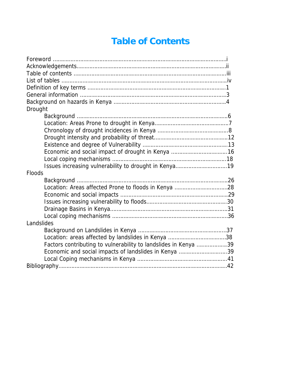# **Table of Contents**

| Drought                                                         |
|-----------------------------------------------------------------|
|                                                                 |
|                                                                 |
|                                                                 |
|                                                                 |
|                                                                 |
| Economic and social impact of drought in Kenya 16               |
|                                                                 |
|                                                                 |
| <b>Floods</b>                                                   |
|                                                                 |
|                                                                 |
|                                                                 |
|                                                                 |
|                                                                 |
|                                                                 |
| Landslides                                                      |
|                                                                 |
|                                                                 |
| Factors contributing to vulnerability to landslides in Kenya 39 |
| Economic and social impacts of landslides in Kenya 39           |
|                                                                 |
|                                                                 |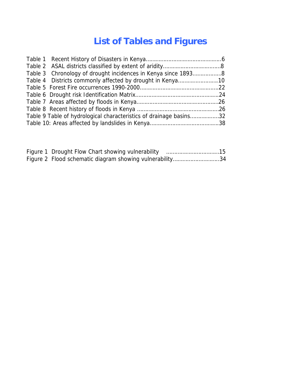# **List of Tables and Figures**

| Table 3 Chronology of drought incidences in Kenya since 18938      |  |
|--------------------------------------------------------------------|--|
|                                                                    |  |
|                                                                    |  |
|                                                                    |  |
|                                                                    |  |
|                                                                    |  |
| Table 9 Table of hydrological characteristics of drainage basins32 |  |
|                                                                    |  |

| Figure 2 Flood schematic diagram showing vulnerability34 |  |
|----------------------------------------------------------|--|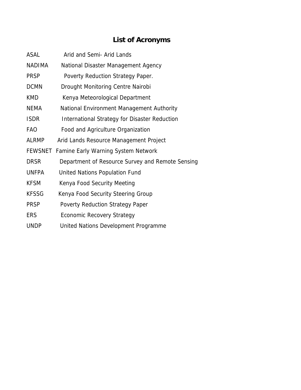# **List of Acronyms**

| ASAL           | Arid and Semi- Arid Lands                            |
|----------------|------------------------------------------------------|
| <b>NADIMA</b>  | National Disaster Management Agency                  |
| <b>PRSP</b>    | Poverty Reduction Strategy Paper.                    |
| <b>DCMN</b>    | Drought Monitoring Centre Nairobi                    |
| <b>KMD</b>     | Kenya Meteorological Department                      |
| NEMA           | National Environment Management Authority            |
| <b>ISDR</b>    | <b>International Strategy for Disaster Reduction</b> |
| FAO            | Food and Agriculture Organization                    |
| <b>ALRMP</b>   | Arid Lands Resource Management Project               |
| <b>FEWSNET</b> | <b>Famine Early Warning System Network</b>           |
| <b>DRSR</b>    | Department of Resource Survey and Remote Sensing     |
| <b>UNFPA</b>   | United Nations Population Fund                       |
| <b>KFSM</b>    | Kenya Food Security Meeting                          |
| <b>KFSSG</b>   | Kenya Food Security Steering Group                   |
| <b>PRSP</b>    | <b>Poverty Reduction Strategy Paper</b>              |
| ERS            | <b>Economic Recovery Strategy</b>                    |
| <b>UNDP</b>    | United Nations Development Programme                 |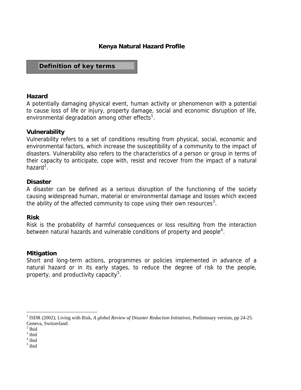# **Kenya Natural Hazard Profile**

# **Definition of key terms**

#### **Hazard**

A potentially damaging physical event, human activity or phenomenon with a potential to cause loss of life or injury, property damage, social and economic disruption of life, environmental degradation among other effects<sup>[1](#page-6-0)</sup>.

#### **Vulnerability**

Vulnerability refers to a set of conditions resulting from physical, social, economic and environmental factors, which increase the susceptibility of a community to the impact of disasters. Vulnerability also refers to the characteristics of a person or group in terms of their capacity to anticipate, cope with, resist and recover from the impact of a natural hazard $2$ .

#### **Disaster**

A disaster can be defined as a serious disruption of the functioning of the society causing widespread human, material or environmental damage and losses which exceed the ability of the affected community to cope using their own resources<sup>[3](#page-6-2)</sup>.

#### **Risk**

Risk is the probability of harmful consequences or loss resulting from the interaction between natural hazards and vulnerable conditions of property and people<sup>[4](#page-6-3)</sup>.

#### **Mitigation**

Short and long-term actions, programmes or policies implemented in advance of a natural hazard or in its early stages, to reduce the degree of risk to the people, property, and productivity capacity<sup>[5](#page-6-4)</sup>.

 $\overline{a}$ 

<span id="page-6-0"></span><sup>1</sup> ISDR (2002); Living with Risk, *A global Review of Disaster Reduction Initiatives*, Preliminary version, pp 24-25. Geneva, Switzerland.

<span id="page-6-1"></span> $<sup>2</sup>$  Ibid</sup>

<span id="page-6-2"></span> $3$  ibid

<span id="page-6-3"></span><sup>4</sup> ibid

<span id="page-6-4"></span><sup>5</sup> ibid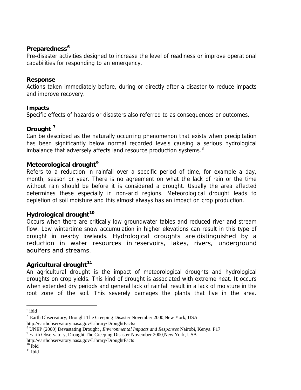#### **Preparedness[6](#page-7-0)**

Pre-disaster activities designed to increase the level of readiness or improve operational capabilities for responding to an emergency.

#### **Response**

Actions taken immediately before, during or directly after a disaster to reduce impacts and improve recovery.

#### **Impacts**

Specific effects of hazards or disasters also referred to as consequences or outcomes.

# **Drought [7](#page-7-1)**

Can be described as the naturally occurring phenomenon that exists when precipitation has been significantly below normal recorded levels causing a serious hydrological imbalance that adversely affects land resource production systems.<sup>[8](#page-7-2)</sup>

# **Meteorological drought[9](#page-7-3)**

Refers to a reduction in rainfall over a specific period of time, for example a day, month, season or year. There is no agreement on what the lack of rain or the time without rain should be before it is considered a drought. Usually the area affected determines these especially in non-arid regions. Meteorological drought leads to depletion of soil moisture and this almost always has an impact on crop production.

# **Hydrological drought[10](#page-7-4)**

Occurs when there are critically low groundwater tables and reduced river and stream flow. Low wintertime snow accumulation in higher elevations can result in this type of drought in nearby lowlands. Hydrological droughts are distinguished by a reduction in water resources in reservoirs, lakes, rivers, underground aquifers and streams.

# **Agricultural drought[11](#page-7-5)**

An agricultural drought is the impact of meteorological droughts and hydrological droughts on crop yields. This kind of drought is associated with extreme heat. It occurs when extended dry periods and general lack of rainfall result in a lack of moisture in the root zone of the soil. This severely damages the plants that live in the area.

 $6$  ibid

 $<sup>7</sup>$  Earth Observatory, Drought The Creeping Disaster November 2000, New York, USA</sup> http://earthobservatory.nasa.gov/Library/DroughtFacts/

<sup>&</sup>lt;sup>8</sup> UNEP (2000) Devastating Drought , *Environmental Impacts and Responses* Nairobi, Kenya. P17<br><sup>9</sup> Eerth Observatory, Drought The Creening Disaster November 2000 Novy York, USA

<sup>&</sup>lt;sup>9</sup> Earth Observatory, Drought The Creeping Disaster November 2000, New York, USA

http://earthobservatory.nasa.gov/Library/DroughtFacts

 $10$  ibid

<span id="page-7-5"></span><span id="page-7-4"></span><span id="page-7-3"></span><span id="page-7-2"></span><span id="page-7-1"></span><span id="page-7-0"></span> $^{\rm 11}$ Ibid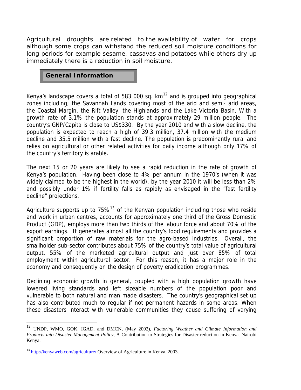Agricultural droughts are related to the availability of water for crops although some crops can withstand the reduced soil moisture conditions for long periods for example sesame, cassavas and potatoes while others dry up immediately there is a reduction in soil moisture.

#### **General Information**

Kenya's landscape covers a total of 583 000 sq.  $km<sup>12</sup>$  $km<sup>12</sup>$  $km<sup>12</sup>$  and is grouped into geographical zones including; the Savannah Lands covering most of the arid and semi- arid areas, the Coastal Margin, the Rift Valley, the Highlands and the Lake Victoria Basin. With a growth rate of 3.1% the population stands at approximately 29 million people. The country's GNP/Capita is close to US\$330. By the year 2010 and with a slow decline, the population is expected to reach a high of 39.3 million, 37.4 million with the medium decline and 35.5 million with a fast decline. The population is predominantly rural and relies on agricultural or other related activities for daily income although only 17% of the country's territory is arable.

The next 15 or 20 years are likely to see a rapid reduction in the rate of growth of Kenya's population. Having been close to 4% per annum in the 1970's (when it was widely claimed to be the highest in the world), by the year 2010 it will be less than 2% and possibly under 1% if fertility falls as rapidly as envisaged in the "fast fertility decline" projections.

Agriculture supports up to  $75\%$ <sup>[13](#page-8-1)</sup> of the Kenyan population including those who reside and work in urban centres, accounts for approximately one third of the Gross Domestic Product (GDP), employs more than two thirds of the labour force and about 70% of the export earnings. It generates almost all the country's food requirements and provides a significant proportion of raw materials for the agro-based industries. Overall, the smallholder sub-sector contributes about 75% of the country's total value of agricultural output, 55% of the marketed agricultural output and just over 85% of total employment within agricultural sector. For this reason, it has a major role in the economy and consequently on the design of poverty eradication programmes.

Declining economic growth in general, coupled with a high population growth have lowered living standards and left sizeable numbers of the population poor and vulnerable to both natural and man made disasters. The country's geographical set up has also contributed much to regular if not permanent hazards in some areas. When these disasters interact with vulnerable communities they cause suffering of varying

 $\overline{a}$ 

<span id="page-8-0"></span><sup>12</sup> UNDP, WMO, GOK, IGAD, and DMCN, (May 2002), *Factoring Weather and Climate Information and Products into Disaster Management Policy*, A Contribution to Strategies for Disaster reduction in Kenya. Nairobi Kenya.

<span id="page-8-1"></span> $13 \text{ http://kenyaweb.com/agriculture/ Overview of Agriculture in Kenya, 2003.}$  $13 \text{ http://kenyaweb.com/agriculture/ Overview of Agriculture in Kenya, 2003.}$  $13 \text{ http://kenyaweb.com/agriculture/ Overview of Agriculture in Kenya, 2003.}$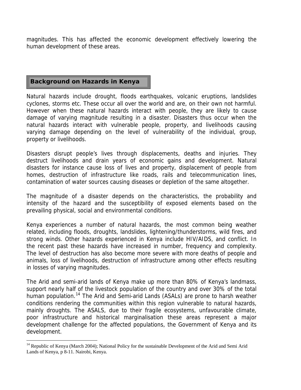<span id="page-9-0"></span>magnitudes. This has affected the economic development effectively lowering the human development of these areas.

# **Background on Hazards in Kenya**

 $\overline{a}$ 

Natural hazards include drought, floods earthquakes, volcanic eruptions, landslides cyclones, storms etc. These occur all over the world and are, on their own not harmful. However when these natural hazards interact with people, they are likely to cause damage of varying magnitude resulting in a disaster. Disasters thus occur when the natural hazards interact with vulnerable people, property, and livelihoods causing varying damage depending on the level of vulnerability of the individual, group, property or livelihoods.

Disasters disrupt people's lives through displacements, deaths and injuries. They destruct livelihoods and drain years of economic gains and development. Natural disasters for instance cause loss of lives and property, displacement of people from homes, destruction of infrastructure like roads, rails and telecommunication lines, contamination of water sources causing diseases or depletion of the same altogether.

The magnitude of a disaster depends on the characteristics, the probability and intensity of the hazard and the susceptibility of exposed elements based on the prevailing physical, social and environmental conditions.

Kenya experiences a number of natural hazards, the most common being weather related, including floods, droughts, landslides, lightening/thunderstorms, wild fires, and strong winds. Other hazards experienced in Kenya include HIV/AIDS, and conflict. In the recent past these hazards have increased in number, frequency and complexity. The level of destruction has also become more severe with more deaths of people and animals, loss of livelihoods, destruction of infrastructure among other effects resulting in losses of varying magnitudes.

The Arid and semi-arid lands of Kenya make up more than 80% of Kenya's landmass, support nearly half of the livestock population of the country and over 30% of the total human population.<sup>[14](#page-9-0)</sup> The Arid and Semi-arid Lands (ASALs) are prone to harsh weather conditions rendering the communities within this region vulnerable to natural hazards, mainly droughts. The ASALS, due to their fragile ecosystems, unfavourable climate, poor infrastructure and historical marginalisation these areas represent a major development challenge for the affected populations, the Government of Kenya and its development.

<sup>&</sup>lt;sup>14</sup> Republic of Kenya (March 2004); National Policy for the sustainable Development of the Arid and Semi Arid Lands of Kenya, p 8-11. Nairobi, Kenya.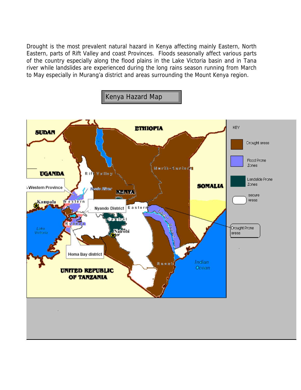Drought is the most prevalent natural hazard in Kenya affecting mainly Eastern, North Eastern, parts of Rift Valley and coast Provinces. Floods seasonally affect various parts of the country especially along the flood plains in the Lake Victoria basin and in Tana river while landslides are experienced during the long rains season running from March to May especially in Murang'a district and areas surrounding the Mount Kenya region.

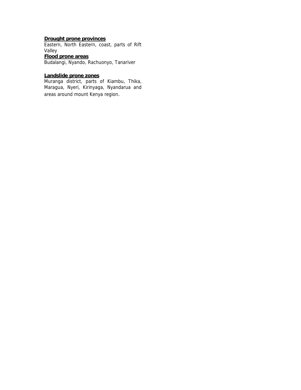#### **Drought prone provinces**

Eastern, North Eastern, coast, parts of Rift Valley **Flood prone areas**

Budalangi, Nyando, Rachuonyo, Tanariver

#### **Landslide prone zones**

Muranga district, parts of Kiambu, Thika, Maragua, Nyeri, Kirinyaga, Nyandarua and areas around mount Kenya region.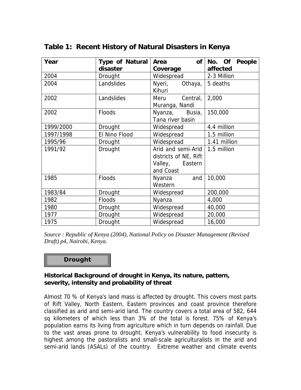| Year      | Type of Natural | of <sub>l</sub><br>Area | People<br>No. Of |
|-----------|-----------------|-------------------------|------------------|
|           | disaster        | Coverage                | affected         |
| 2004      | Drought         | Widespread              | 2-3 Million      |
| 2004      | Landslides      | Nyeri,<br>Othaya,       | 5 deaths         |
|           |                 | Kihuri                  |                  |
| 2002      | Landslides      | Meru Central,           | 2,000            |
|           |                 | Muranga, Nandi          |                  |
| 2002      | <b>Floods</b>   | Nyanza, Busia,          | 150,000          |
|           |                 | Tana river basin        |                  |
| 1999/2000 | <b>Drought</b>  | Widespread              | 4.4 million      |
| 1997/1998 | El Nino Flood   | Widespread              | 1.5 million      |
| 1995/96   | <b>Drought</b>  | Widespread              | 1.41 million     |
| 1991/92   | Drought         | Arid and semi-Arid      | 1.5 million      |
|           |                 | districts of NE, Rift   |                  |
|           |                 | Valley,<br>Eastern      |                  |
|           |                 | and Coast               |                  |
| 1985      | <b>Floods</b>   | Nyanza<br>and           | 10,000           |
|           |                 | Western                 |                  |
| 1983/84   | Drought         | Widespread              | 200,000          |
| 1982      | <b>Floods</b>   | Nyanza                  | 4,000            |
| 1980      | Drought         | Widespread              | 40,000           |
| 1977      | Drought         | Widespread              | 20,000           |
| 1975      | <b>Drought</b>  | Widespread              | 16,000           |

# **Table 1: Recent History of Natural Disasters in Kenya**

*Source : Republic of Kenya (2004), National Policy on Disaster Management (Revised Draft) p4, Nairobi, Kenya.* 

#### **Drought**

#### **Historical Background of drought in Kenya, its nature, pattern, severity, intensity and probability of threat**

Almost 70 % of Kenya's land mass is affected by drought. This covers most parts of Rift Valley, North Eastern, Eastern provinces and coast province therefore classified as arid and semi-arid land. The country covers a total area of 582, 644 sq kilometers of which less than 3% of the total is forest. 75% of Kenya's population earns its living from agriculture which in turn depends on rainfall. Due to the vast areas prone to drought, Kenya's vulnerability to food insecurity is highest among the pastoralists and small-scale agriculturalists in the arid and semi-arid lands (ASALs) of the country. Extreme weather and climate events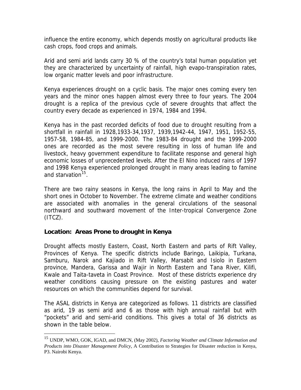<span id="page-13-0"></span>influence the entire economy, which depends mostly on agricultural products like cash crops, food crops and animals.

Arid and semi arid lands carry 30 % of the country's total human population yet they are characterized by uncertainty of rainfall, high evapo-transpiration rates, low organic matter levels and poor infrastructure.

Kenya experiences drought on a cyclic basis. The major ones coming every ten years and the minor ones happen almost every three to four years. The 2004 drought is a replica of the previous cycle of severe droughts that affect the country every decade as experienced in 1974, 1984 and 1994.

Kenya has in the past recorded deficits of food due to drought resulting from a shortfall in rainfall in 1928,1933-34,1937, 1939,1942-44, 1947, 1951, 1952-55, 1957-58, 1984-85, and 1999-2000. The 1983-84 drought and the 1999-2000 ones are recorded as the most severe resulting in loss of human life and livestock, heavy government expenditure to facilitate response and general high economic losses of unprecedented levels. After the El Nino induced rains of 1997 and 1998 Kenya experienced prolonged drought in many areas leading to famine and starvation<sup>[15](#page-13-0)</sup>.

There are two rainy seasons in Kenya, the long rains in April to May and the short ones in October to November. The extreme climate and weather conditions are associated with anomalies in the general circulations of the seasonal northward and southward movement of the Inter-tropical Convergence Zone  $(ITCZ)$ .

# **Location: Areas Prone to drought in Kenya**

 $\overline{a}$ 

Drought affects mostly Eastern, Coast, North Eastern and parts of Rift Valley, Provinces of Kenya. The specific districts include Baringo, Laikipia, Turkana, Samburu, Narok and Kajiado in Rift Valley, Marsabit and Isiolo in Eastern province, Mandera, Garissa and Wajir in North Eastern and Tana River, Kilifi, Kwale and Taita-taveta in Coast Province. Most of these districts experience dry weather conditions causing pressure on the existing pastures and water resources on which the communities depend for survival.

The ASAL districts in Kenya are categorized as follows. 11 districts are classified as arid, 19 as semi arid and 6 as those with high annual rainfall but with "pockets" arid and semi-arid conditions. This gives a total of 36 districts as shown in the table below.

<sup>15</sup> UNDP, WMO, GOK, IGAD, and DMCN, (May 2002), *Factoring Weather and Climate Information and Products into Disaster Management Policy*, A Contribution to Strategies for Disaster reduction in Kenya, P3. Nairobi Kenya.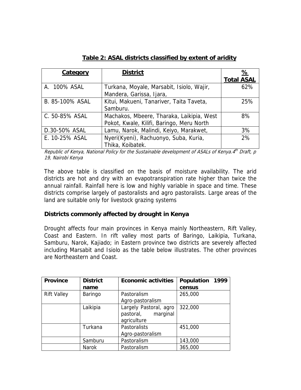| <b>Category</b> | <b>District</b>                           | <u>%</u>          |
|-----------------|-------------------------------------------|-------------------|
|                 |                                           | <b>Total ASAL</b> |
| A. 100% ASAL    | Turkana, Moyale, Marsabit, Isiolo, Wajir, | 62%               |
|                 | Mandera, Garissa, Ijara,                  |                   |
| B. 85-100% ASAL | Kitui, Makueni, Tanariver, Taita Taveta,  | 25%               |
|                 | Samburu.                                  |                   |
| C. 50-85% ASAL  | Machakos, Mbeere, Tharaka, Laikipia, West | 8%                |
|                 | Pokot, Kwale, Kilifi, Baringo, Meru North |                   |
| D.30-50% ASAL   | Lamu, Narok, Malindi, Keiyo, Marakwet,    | 3%                |
| E. 10-25% ASAL  | Nyeri(Kyeni), Rachuonyo, Suba, Kuria,     | 2%                |
|                 | Thika, Koibatek.                          |                   |

# **Table 2: ASAL districts classified by extent of aridity**

Republic of Kenya, National Policy for the Sustainable development of ASALs of Kenya.4<sup>th</sup> Draft, p 19, Nairobi Kenya

The above table is classified on the basis of moisture availability. The arid districts are hot and dry with an evapotranspiration rate higher than twice the annual rainfall. Rainfall here is low and highly variable in space and time. These districts comprise largely of pastoralists and agro pastoralists. Large areas of the land are suitable only for livestock grazing systems

#### **Districts commonly affected by drought in Kenya**

Drought affects four main provinces in Kenya mainly Northeastern, Rift Valley, Coast and Eastern. In rift valley most parts of Baringo, Laikipia, Turkana, Samburu, Narok, Kajiado; in Eastern province two districts are severely affected including Marsabit and Isiolo as the table below illustrates. The other provinces are Northeastern and Coast.

| <b>Province</b>    | <b>District</b> | <b>Economic activities</b>                                     | Population 1999 |
|--------------------|-----------------|----------------------------------------------------------------|-----------------|
|                    | name            |                                                                | census          |
| <b>Rift Valley</b> | Baringo         | Pastoralism                                                    | 265,000         |
|                    |                 | Agro-pastoralism                                               |                 |
|                    | Laikipia        | Largely Pastoral, agro<br>marginal<br>pastoral,<br>agriculture | 322,000         |
|                    | Turkana         | Pastoralists                                                   | 451,000         |
|                    |                 | Agro-pastoralism                                               |                 |
|                    | Samburu         | Pastoralism                                                    | 143,000         |
|                    | <b>Narok</b>    | Pastoralism                                                    | 365,000         |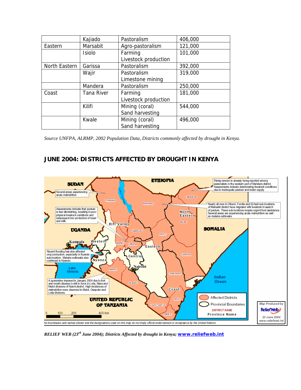|               | Kajiado           | Pastoralism          | 406,000 |
|---------------|-------------------|----------------------|---------|
| Eastern       | Marsabit          | Agro-pastoralism     | 121,000 |
|               | <b>Isiolo</b>     | Farming              | 101,000 |
|               |                   | Livestock production |         |
| North Eastern | Garissa           | Pastoralism          | 392,000 |
|               | Wajir             | Pastoralism          | 319,000 |
|               |                   | Limestone mining     |         |
|               | Mandera           | Pastoralism          | 250,000 |
| Coast         | <b>Tana River</b> | Farming              | 181,000 |
|               |                   | Livestock production |         |
|               | Kilifi            | Mining (coral)       | 544,000 |
|               |                   | Sand harvesting      |         |
|               | Kwale             | Mining (coral)       | 496,000 |
|               |                   | Sand harvesting      |         |

*Source UNFPA, ALRMP, 2002 Population Data, Districts commonly affected by drought in Kenya.* 

# **JUNE 2004: DISTRICTS AFFECTED BY DROUGHT IN KENYA**



*RELIEF WEB (23rd June 2004); Districts Affected by drought in Kenya; [www.reliefweb.int](http://www.reliefweb.int/)*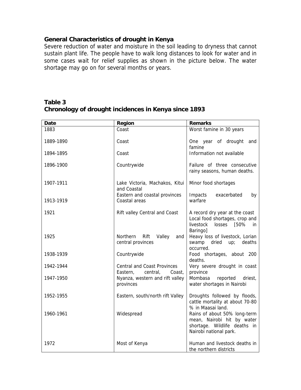#### **General Characteristics of drought in Kenya**

Severe reduction of water and moisture in the soil leading to dryness that cannot sustain plant life. The people have to walk long distances to look for water and in some cases wait for relief supplies as shown in the picture below. The water shortage may go on for several months or years.

#### **Table 3 Chronology of drought incidences in Kenya since 1893**

| <b>Date</b> | Region                                                               | <b>Remarks</b>                                                                                                       |
|-------------|----------------------------------------------------------------------|----------------------------------------------------------------------------------------------------------------------|
| 1883        | Coast                                                                | Worst famine in 30 years                                                                                             |
| 1889-1890   | Coast                                                                | One year of drought and<br>famine                                                                                    |
| 1894-1895   | Coast                                                                | Information not available                                                                                            |
| 1896-1900   | Countrywide                                                          | Failure of three consecutive<br>rainy seasons, human deaths.                                                         |
| 1907-1911   | Lake Victoria, Machakos, Kitui<br>and Coastal                        | Minor food shortages                                                                                                 |
| 1913-1919   | Eastern and coastal provinces<br>Coastal areas                       | Impacts<br>exacerbated<br>by<br>warfare                                                                              |
| 1921        | Rift valley Central and Coast                                        | A record dry year at the coast<br>Local food shortages, crop and<br>losses [50%<br>livestock<br>in<br>Baringo]       |
| 1925        | <b>Northern</b><br>Rift<br>Valley<br>and<br>central provinces        | Heavy loss of livestock, Lorian<br>swamp dried<br>up;<br>deaths<br>occurred.                                         |
| 1938-1939   | Countrywide                                                          | Food shortages, about 200<br>deaths.                                                                                 |
| 1942-1944   | <b>Central and Coast Provinces</b><br>Eastern,<br>Coast,<br>central, | Very severe drought in coast<br>province                                                                             |
| 1947-1950   | Nyanza, western and rift valley<br>provinces                         | Mombasa reported<br>driest,<br>water shortages in Nairobi                                                            |
| 1952-1955   | Eastern, south/north rift Valley                                     | Droughts followed by floods,<br>cattle mortality at about 70-80<br>% in Maasai land.                                 |
| 1960-1961   | Widespread                                                           | Rains of about 50% long-term<br>mean, Nairobi hit by water<br>shortage. Wildlife deaths in<br>Nairobi national park. |
| 1972        | Most of Kenya                                                        | Human and livestock deaths in<br>the northern districts                                                              |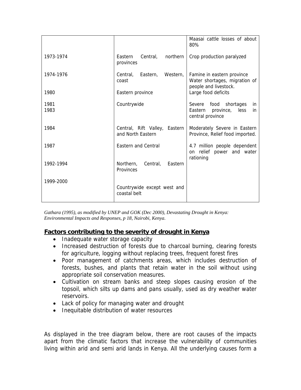|              |                                                    | Maasai cattle losses of about<br>80%                                                 |
|--------------|----------------------------------------------------|--------------------------------------------------------------------------------------|
| 1973-1974    | Eastern<br>Central,<br>northern  <br>provinces     | Crop production paralyzed                                                            |
| 1974-1976    | Eastern,<br>Central.<br>Western,<br>coast          | Famine in eastern province<br>Water shortages, migration of<br>people and livestock. |
| 1980         | Eastern province                                   | Large food deficits                                                                  |
| 1981<br>1983 | Countrywide                                        | Severe food shortages<br>in<br>Eastern province,<br>less<br>in<br>central province   |
| 1984         | Central, Rift Valley, Eastern<br>and North Eastern | Moderately Severe in Eastern<br>Province, Relief food imported.                      |
| 1987         | Eastern and Central                                | 4.7 million people dependent<br>on relief power and water                            |
| 1992-1994    | Northern, Central,<br>Eastern<br>Provinces         | rationing                                                                            |
| 1999-2000    | Countrywide except west and<br>coastal belt        |                                                                                      |

*Gathara (1995), as modified by UNEP and GOK (Dec 2000), Devastating Drought in Kenya: Environmental Impacts and Responses, p 18, Nairobi, Kenya.* 

# **Factors contributing to the severity of drought in Kenya**

- Inadequate water storage capacity
- Increased destruction of forests due to charcoal burning, clearing forests for agriculture, logging without replacing trees, frequent forest fires
- Poor management of catchments areas, which includes destruction of forests, bushes, and plants that retain water in the soil without using appropriate soil conservation measures.
- Cultivation on stream banks and steep slopes causing erosion of the topsoil, which silts up dams and pans usually, used as dry weather water reservoirs.
- Lack of policy for managing water and drought
- Inequitable distribution of water resources

As displayed in the tree diagram below, there are root causes of the impacts apart from the climatic factors that increase the vulnerability of communities living within arid and semi arid lands in Kenya. All the underlying causes form a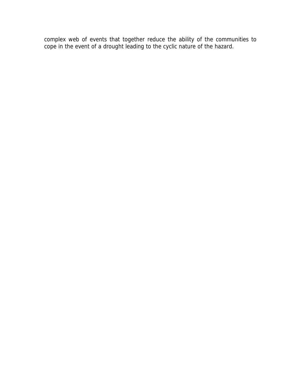complex web of events that together reduce the ability of the communities to cope in the event of a drought leading to the cyclic nature of the hazard.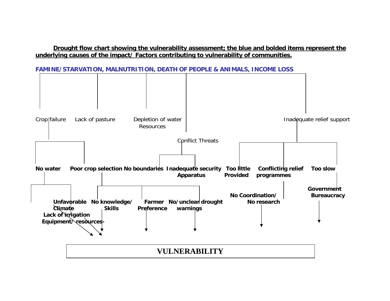# **Drought flow chart showing the vulnerability assessment; the blue and bolded items represent the underlying causes of the impact/ Factors contributing to vulnerability of communities.**



**FAMINE/STARVATION, MALNUTRITION, DEATH OF PEOPLE & ANIMALS, INCOME LOSS**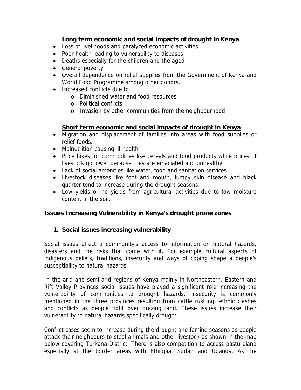# **Long term economic and social impacts of drought in Kenya**

- Loss of livelihoods and paralyzed economic activities
- Poor health leading to vulnerability to diseases
- Deaths especially for the children and the aged
- General poverty
- Overall dependence on relief supplies from the Government of Kenya and World Food Programme among other donors.
- Increased conflicts due to
	- o Diminished water and food resources
	- o Political conflicts
	- o Invasion by other communities from the neighbourhood

# **Short term economic and social impacts of drought in Kenya**

- Migration and displacement of families into areas with food supplies or relief foods.
- Malnutrition causing ill-health
- Price hikes for commodities like cereals and food products while prices of livestock go lower because they are emaciated and unhealthy.
- Lack of social amenities like water, food and sanitation services
- Livestock diseases like foot and mouth, lumpy skin disease and black quarter tend to increase during the drought seasons.
- Low yields or no yields from agricultural activities due to low moisture content in the soil.

# **Issues Increasing Vulnerability in Kenya's drought prone zones**

# **1. Social issues increasing vulnerability**

Social issues affect a community's access to information on natural hazards, disasters and the risks that come with it. For example cultural aspects of indigenous beliefs, traditions, insecurity and ways of coping shape a people's susceptibility to natural hazards.

In the arid and semi-arid regions of Kenya mainly in Northeastern, Eastern and Rift Valley Provinces social issues have played a significant role increasing the vulnerability of communities to drought hazards. Insecurity is commonly mentioned in the three provinces resulting from cattle rustling, ethnic clashes and conflicts as people fight over grazing land. These issues increase their vulnerability to natural hazards specifically drought.

Conflict cases seem to increase during the drought and famine seasons as people attack their neighbours to steal animals and other livestock as shown in the map below covering Turkana District. There is also competition to access pastureland especially at the border areas with Ethiopia, Sudan and Uganda. As the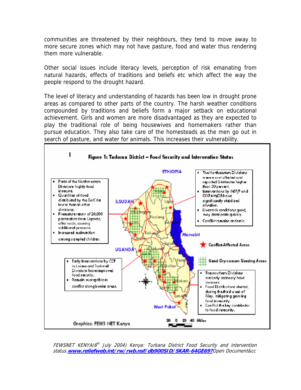communities are threatened by their neighbours, they tend to move away to more secure zones which may not have pasture, food and water thus rendering them more vulnerable.

Other social issues include literacy levels, perception of risk emanating from natural hazards, effects of traditions and beliefs etc which affect the way the people respond to the drought hazard.

The level of literacy and understanding of hazards has been low in drought prone areas as compared to other parts of the country. The harsh weather conditions compounded by traditions and beliefs form a major setback on educational achievement. Girls and women are more disadvantaged as they are expected to play the traditional role of being housewives and homemakers rather than pursue education. They also take care of the homesteads as the men go out in search of pasture, and water for animals. This increases their vulnerability.



FEWSNET KENYA(6<sup>th</sup> July 2004) Kenya: Turkana District Food Security and intervention status.**[www.reliefweb.int/rw/rwb.nsf/db900SID/SKAR-64GE69?](http://www.reliefweb.int/rw/rwb.nsf/db900SID/SKAR-64GE69?)**Open Document&cc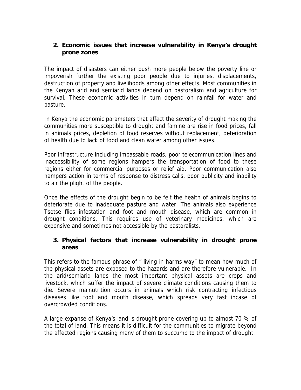# **2. Economic issues that increase vulnerability in Kenya's drought prone zones**

The impact of disasters can either push more people below the poverty line or impoverish further the existing poor people due to injuries, displacements, destruction of property and livelihoods among other effects. Most communities in the Kenyan arid and semiarid lands depend on pastoralism and agriculture for survival. These economic activities in turn depend on rainfall for water and pasture.

In Kenya the economic parameters that affect the severity of drought making the communities more susceptible to drought and famine are rise in food prices, fall in animals prices, depletion of food reserves without replacement, deterioration of health due to lack of food and clean water among other issues.

Poor infrastructure including impassable roads, poor telecommunication lines and inaccessibility of some regions hampers the transportation of food to these regions either for commercial purposes or relief aid. Poor communication also hampers action in terms of response to distress calls, poor publicity and inability to air the plight of the people.

Once the effects of the drought begin to be felt the health of animals begins to deteriorate due to inadequate pasture and water. The animals also experience Tsetse flies infestation and foot and mouth disease, which are common in drought conditions. This requires use of veterinary medicines, which are expensive and sometimes not accessible by the pastoralists.

# **3. Physical factors that increase vulnerability in drought prone areas**

This refers to the famous phrase of " living in harms way" to mean how much of the physical assets are exposed to the hazards and are therefore vulnerable. In the arid/semiarid lands the most important physical assets are crops and livestock, which suffer the impact of severe climate conditions causing them to die. Severe malnutrition occurs in animals which risk contracting infectious diseases like foot and mouth disease, which spreads very fast incase of overcrowded conditions.

A large expanse of Kenya's land is drought prone covering up to almost 70 % of the total of land. This means it is difficult for the communities to migrate beyond the affected regions causing many of them to succumb to the impact of drought.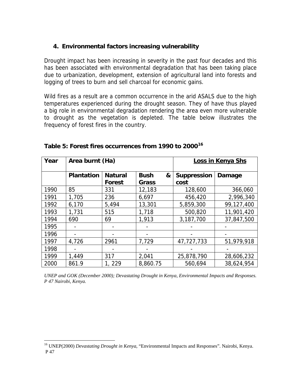# <span id="page-23-0"></span>**4. Environmental factors increasing vulnerability**

Drought impact has been increasing in severity in the past four decades and this has been associated with environmental degradation that has been taking place due to urbanization, development, extension of agricultural land into forests and logging of trees to burn and sell charcoal for economic gains.

Wild fires as a result are a common occurrence in the arid ASALS due to the high temperatures experienced during the drought season. They of have thus played a big role in environmental degradation rendering the area even more vulnerable to drought as the vegetation is depleted. The table below illustrates the frequency of forest fires in the country.

| Year | Area burnt (Ha)   |                          |                                  | Loss in Kenya Shs          |            |
|------|-------------------|--------------------------|----------------------------------|----------------------------|------------|
|      | <b>Plantation</b> | <b>Natural</b><br>Forest | <b>Bush</b><br>&<br><b>Grass</b> | <b>Suppression</b><br>cost | Damage     |
| 1990 | 85                | 331                      | 12,183                           | 128,600                    | 366,060    |
| 1991 | 1,705             | 236                      | 6,697                            | 456,420                    | 2,996,340  |
| 1992 | 6,170             | 5,494                    | 13,301                           | 5,859,300                  | 99,127,400 |
| 1993 | 1,731             | 515                      | 1,718                            | 500,820                    | 11,901,420 |
| 1994 | 690               | 69                       | 1,913                            | 3,187,700                  | 37,847,500 |
| 1995 |                   |                          |                                  |                            |            |
| 1996 |                   |                          |                                  |                            |            |
| 1997 | 4,726             | 2961                     | 7,729                            | 47,727,733                 | 51,979,918 |
| 1998 |                   |                          |                                  |                            |            |
| 1999 | 1,449             | 317                      | 2,041                            | 25,878,790                 | 28,606,232 |
| 2000 | 861.9             | 1, 229                   | 8,860.75                         | 560,694                    | 38,624,954 |

**Table 5: Forest fires occurrences from 1990 to 2000[16](#page-23-0)**

*UNEP and GOK (December 2000); Devastating Drought in Kenya, Environmental Impacts and Responses. P 47 Nairobi, Kenya.* 

 $\overline{a}$ 

<sup>16</sup> UNEP(2000) *Devastating Drought in Kenya*, "Environmental Impacts and Responses". Nairobi, Kenya. P 47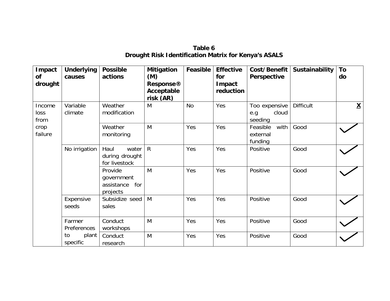| Impact<br><b>of</b><br>drought | <b>Underlying</b><br>causes | <b>Possible</b><br>actions                             | <b>Mitigation</b><br>(M)<br><b>Response®</b><br>Acceptable<br>risk (AR) | Feasible  | <b>Effective</b><br>for<br>Impact<br>reduction | Cost/Benefit<br>Perspective               | Sustainability   | To<br>do                 |
|--------------------------------|-----------------------------|--------------------------------------------------------|-------------------------------------------------------------------------|-----------|------------------------------------------------|-------------------------------------------|------------------|--------------------------|
| Income<br>loss<br>from         | Variable<br>climate         | Weather<br>modification                                | M                                                                       | <b>No</b> | Yes                                            | Too expensive<br>cloud<br>e.g.<br>seeding | <b>Difficult</b> | $\underline{\mathsf{X}}$ |
| crop<br>failure                |                             | Weather<br>monitoring                                  | M                                                                       | Yes       | Yes                                            | Feasible<br>with<br>external<br>funding   | Good             |                          |
|                                | No irrigation               | Haul<br>water<br>during drought<br>for livestock       | $\mathsf{R}$                                                            | Yes       | Yes                                            | Positive                                  | Good             |                          |
|                                |                             | Provide<br>government<br>assistance<br>for<br>projects | M                                                                       | Yes       | Yes                                            | Positive                                  | Good             |                          |
|                                | Expensive<br>seeds          | Subsidize seed<br>sales                                | M                                                                       | Yes       | Yes                                            | Positive                                  | Good             |                          |
|                                | Farmer<br>Preferences       | Conduct<br>workshops                                   | M                                                                       | Yes       | Yes                                            | Positive                                  | Good             |                          |
|                                | to<br>plant<br>specific     | Conduct<br>research                                    | M                                                                       | Yes       | Yes                                            | Positive                                  | Good             |                          |

**Table 6 Drought Risk Identification Matrix for Kenya's ASALS**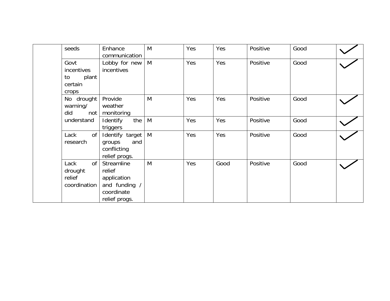| seeds                                                      | Enhance<br>communication                                                            | M | Yes | Yes  | Positive | Good |  |
|------------------------------------------------------------|-------------------------------------------------------------------------------------|---|-----|------|----------|------|--|
| Govt<br>incentives<br>plant<br>to<br>certain<br>crops      | Lobby for new<br>incentives                                                         | M | Yes | Yes  | Positive | Good |  |
| No drought<br>warning/<br>did<br>not                       | Provide<br>weather<br>monitoring                                                    | M | Yes | Yes  | Positive | Good |  |
| understand                                                 | the<br>Identify<br>triggers                                                         | M | Yes | Yes  | Positive | Good |  |
| 0f<br>Lack<br>research                                     | Identify target<br>and<br>groups<br>conflicting<br>relief progs.                    | M | Yes | Yes  | Positive | Good |  |
| <sub>of</sub><br>Lack<br>drought<br>relief<br>coordination | Streamline<br>relief<br>application<br>and funding /<br>coordinate<br>relief progs. | M | Yes | Good | Positive | Good |  |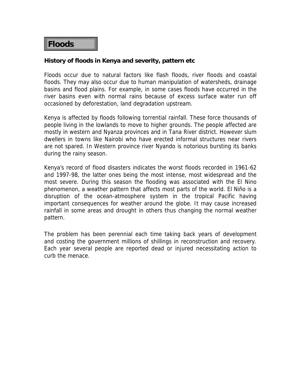# **Floods**

#### **History of floods in Kenya and severity, pattern etc**

Floods occur due to natural factors like flash floods, river floods and coastal floods. They may also occur due to human manipulation of watersheds, drainage basins and flood plains. For example, in some cases floods have occurred in the river basins even with normal rains because of excess surface water run off occasioned by deforestation, land degradation upstream.

Kenya is affected by floods following torrential rainfall. These force thousands of people living in the lowlands to move to higher grounds. The people affected are mostly in western and Nyanza provinces and in Tana River district. However slum dwellers in towns like Nairobi who have erected informal structures near rivers are not spared. In Western province river Nyando is notorious bursting its banks during the rainy season.

Kenya's record of flood disasters indicates the worst floods recorded in 1961-62 and 1997-98, the latter ones being the most intense, most widespread and the most severe. During this season the flooding was associated with the El Nino phenomenon, a weather pattern that affects most parts of the world. El Niño is a disruption of the ocean-atmosphere system in the tropical Pacific having important consequences for weather around the globe. It may cause increased rainfall in some areas and drought in others thus changing the normal weather pattern.

The problem has been perennial each time taking back years of development and costing the government millions of shillings in reconstruction and recovery. Each year several people are reported dead or injured necessitating action to curb the menace.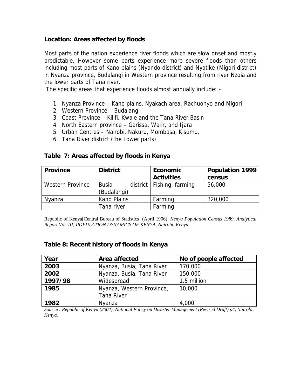#### **Location: Areas affected by floods**

Most parts of the nation experience river floods which are slow onset and mostly predictable. However some parts experience more severe floods than others including most parts of Kano plains (Nyando district) and Nyatike (Migori district) in Nyanza province, Budalangi in Western province resulting from river Nzoia and the lower parts of Tana river.

The specific areas that experience floods almost annually include: -

- 1. Nyanza Province Kano plains, Nyakach area, Rachuonyo and Migori
- 2. Western Province Budalangi
- 3. Coast Province Kilifi, Kwale and the Tana River Basin
- 4. North Eastern province Garissa, Wajir, and Ijara
- 5. Urban Centres Nairobi, Nakuru, Mombasa, Kisumu.
- 6. Tana River district (the Lower parts)

| <b>Province</b>         | <b>District</b>             |  | <b>Economic</b>             | <b>Population 1999</b> |
|-------------------------|-----------------------------|--|-----------------------------|------------------------|
|                         |                             |  | <b>Activities</b>           | census                 |
| <b>Western Province</b> | <b>Busia</b><br>(Budalangi) |  | district   Fishing, farming | 56,000                 |
| Nyanza                  | <b>Kano Plains</b>          |  | Farming                     | 320,000                |
|                         | Tana river                  |  | Farming                     |                        |

#### **Table 7: Areas affected by floods in Kenya**

Republic of Kenya[Central Bureau of Statistics] (April 1996); *Kenya Population Census 1989, Analytical Report Vol. III; POPULATION DYNAMICS OF KENYA, Nairobi, Kenya.* 

#### **Table 8: Recent history of floods in Kenya**

| Year    | Area affected             | No of people affected |
|---------|---------------------------|-----------------------|
| 2003    | Nyanza, Busia, Tana River | 170,000               |
| 2002    | Nyanza, Busia, Tana River | 150,000               |
| 1997/98 | Widespread                | 1.5 million           |
| 1985    | Nyanza, Western Province, | 10,000                |
|         | <b>Tana River</b>         |                       |
| 1982    | Nyanza                    | 4,000                 |

*Source : Republic of Kenya (2004), National Policy on Disaster Management (Revised Draft) p4, Nairobi, Kenya.*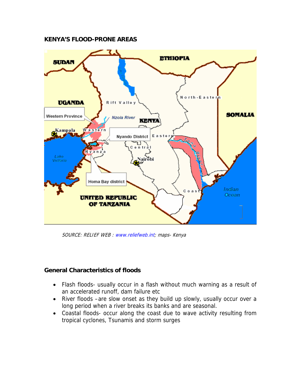#### **KENYA'S FLOOD-PRONE AREAS**



SOURCE: RELIEF WEB : [www.reliefweb.int](http://www.reliefweb.int/); maps- Kenya

#### **General Characteristics of floods**

- Flash floods- usually occur in a flash without much warning as a result of an accelerated runoff, dam failure etc
- River floods –are slow onset as they build up slowly, usually occur over a long period when a river breaks its banks and are seasonal.
- Coastal floods- occur along the coast due to wave activity resulting from tropical cyclones, Tsunamis and storm surges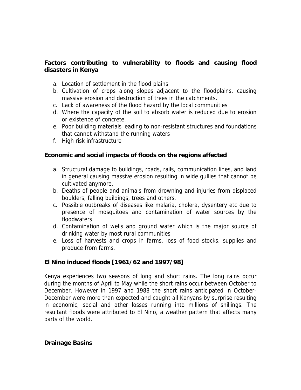# **Factors contributing to vulnerability to floods and causing flood disasters in Kenya**

- a. Location of settlement in the flood plains
- b. Cultivation of crops along slopes adjacent to the floodplains, causing massive erosion and destruction of trees in the catchments.
- c. Lack of awareness of the flood hazard by the local communities
- d. Where the capacity of the soil to absorb water is reduced due to erosion or existence of concrete.
- e. Poor building materials leading to non-resistant structures and foundations that cannot withstand the running waters
- f. High risk infrastructure

#### **Economic and social impacts of floods on the regions affected**

- a. Structural damage to buildings, roads, rails, communication lines, and land in general causing massive erosion resulting in wide gullies that cannot be cultivated anymore.
- b. Deaths of people and animals from drowning and injuries from displaced boulders, falling buildings, trees and others.
- c. Possible outbreaks of diseases like malaria, cholera, dysentery etc due to presence of mosquitoes and contamination of water sources by the floodwaters.
- d. Contamination of wells and ground water which is the major source of drinking water by most rural communities
- e. Loss of harvests and crops in farms, loss of food stocks, supplies and produce from farms.

# **El Nino induced floods [1961/62 and 1997/98]**

Kenya experiences two seasons of long and short rains. The long rains occur during the months of April to May while the short rains occur between October to December. However in 1997 and 1988 the short rains anticipated in October-December were more than expected and caught all Kenyans by surprise resulting in economic, social and other losses running into millions of shillings. The resultant floods were attributed to El Nino, a weather pattern that affects many parts of the world.

#### **Drainage Basins**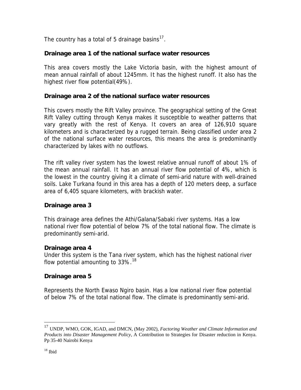<span id="page-32-0"></span>The country has a total of 5 drainage basins $^{17}$  $^{17}$  $^{17}$ .

# **Drainage area 1 of the national surface water resources**

This area covers mostly the Lake Victoria basin, with the highest amount of mean annual rainfall of about 1245mm. It has the highest runoff. It also has the highest river flow potential(49%).

#### **Drainage area 2 of the national surface water resources**

This covers mostly the Rift Valley province. The geographical setting of the Great Rift Valley cutting through Kenya makes it susceptible to weather patterns that vary greatly with the rest of Kenya. It covers an area of 126,910 square kilometers and is characterized by a rugged terrain. Being classified under area 2 of the national surface water resources, this means the area is predominantly characterized by lakes with no outflows.

The rift valley river system has the lowest relative annual runoff of about 1% of the mean annual rainfall. It has an annual river flow potential of 4%, which is the lowest in the country giving it a climate of semi-arid nature with well-drained soils. Lake Turkana found in this area has a depth of 120 meters deep, a surface area of 6,405 square kilometers, with brackish water.

# **Drainage area 3**

This drainage area defines the Athi/Galana/Sabaki river systems. Has a low national river flow potential of below 7% of the total national flow. The climate is predominantly semi-arid.

#### **Drainage area 4**

Under this system is the Tana river system, which has the highest national river flow potential amounting to  $33\%$ .<sup>[18](#page-32-0)</sup>

# **Drainage area 5**

Represents the North Ewaso Ngiro basin. Has a low national river flow potential of below 7% of the total national flow. The climate is predominantly semi-arid.

 $\overline{a}$ 

<sup>17</sup> UNDP, WMO, GOK, IGAD, and DMCN, (May 2002), *Factoring Weather and Climate Information and Products into Disaster Management Policy*, A Contribution to Strategies for Disaster reduction in Kenya. Pp 35-40 Nairobi Kenya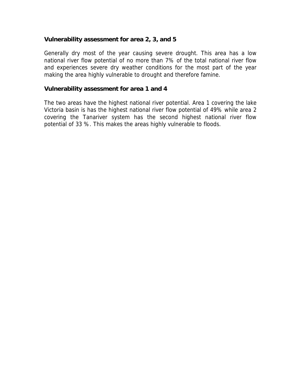#### **Vulnerability assessment for area 2, 3, and 5**

Generally dry most of the year causing severe drought. This area has a low national river flow potential of no more than 7% of the total national river flow and experiences severe dry weather conditions for the most part of the year making the area highly vulnerable to drought and therefore famine.

#### **Vulnerability assessment for area 1 and 4**

The two areas have the highest national river potential. Area 1 covering the lake Victoria basin is has the highest national river flow potential of 49% while area 2 covering the Tanariver system has the second highest national river flow potential of 33 %. This makes the areas highly vulnerable to floods.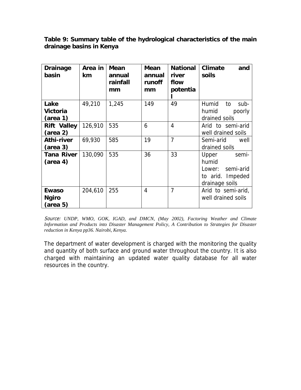#### **Table 9: Summary table of the hydrological characteristics of the main drainage basins in Kenya**

| <b>Drainage</b><br>basin                           | Area in $ $<br>km | <b>Mean</b><br>annual<br>rainfall<br>mm | <b>Mean</b><br>annual<br>runoff<br>mm | <b>National</b><br>river<br>flow<br>potentia | <b>Climate</b><br>and<br>soils                                                       |
|----------------------------------------------------|-------------------|-----------------------------------------|---------------------------------------|----------------------------------------------|--------------------------------------------------------------------------------------|
| Lake<br>Victoria<br>(area 1)                       | 49,210            | 1,245                                   | 149                                   | 49                                           | Humid<br>to<br>sub-<br>humid<br>poorly<br>drained soils                              |
| <b>Rift Valley</b><br>(area 2)                     | 126,910           | 535                                     | 6                                     | 4                                            | Arid to semi-arid<br>well drained soils                                              |
| Athi-river<br>(area 3)                             | 69,930            | 585                                     | 19                                    | $\overline{7}$                               | Semi-arid<br>well<br>drained soils                                                   |
| Tana River<br>$(\text{area } 4)$                   | 130,090           | 535                                     | 36                                    | 33                                           | Upper<br>semi-<br>humid<br>semi-arid<br>Lower:<br>to arid. Impeded<br>drainage soils |
| <b>Ewaso</b><br><b>Ngiro</b><br>$(\text{area } 5)$ | 204,610           | 255                                     | 4                                     | $\overline{7}$                               | Arid to semi-arid,<br>well drained soils                                             |

Source: *UNDP, WMO, GOK, IGAD, and DMCN, (May 2002), Factoring Weather and Climate Information and Products into Disaster Management Policy, A Contribution to Strategies for Disaster reduction in Kenya pp36. Nairobi, Kenya.* 

The department of water development is charged with the monitoring the quality and quantity of both surface and ground water throughout the country. It is also charged with maintaining an updated water quality database for all water resources in the country.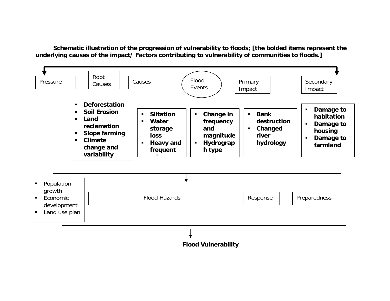**Schematic illustration of the progression of vulnerability to floods; [the bolded items represent the underlying causes of the impact/ Factors contributing to vulnerability of communities to floods.]** 

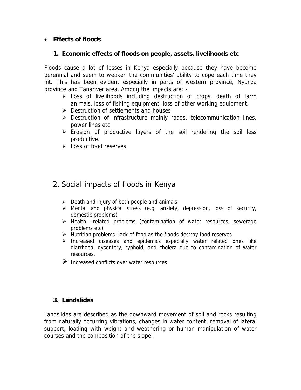# • **Effects of floods**

#### **1. Economic effects of floods on people, assets, livelihoods etc**

Floods cause a lot of losses in Kenya especially because they have become perennial and seem to weaken the communities' ability to cope each time they hit. This has been evident especially in parts of western province, Nyanza province and Tanariver area. Among the impacts are: -

- $\triangleright$  Loss of livelihoods including destruction of crops, death of farm animals, loss of fishing equipment, loss of other working equipment.
- $\triangleright$  Destruction of settlements and houses
- $\triangleright$  Destruction of infrastructure mainly roads, telecommunication lines, power lines etc
- $\triangleright$  Erosion of productive layers of the soil rendering the soil less productive.
- $\triangleright$  Loss of food reserves

# 2. Social impacts of floods in Kenya

- $\triangleright$  Death and injury of both people and animals
- $\triangleright$  Mental and physical stress (e.g. anxiety, depression, loss of security, domestic problems)
- ¾ Health –related problems (contamination of water resources, sewerage problems etc)
- $\triangleright$  Nutrition problems-lack of food as the floods destroy food reserves
- ¾ Increased diseases and epidemics especially water related ones like diarrhoea, dysentery, typhoid, and cholera due to contamination of water resources.
- $\triangleright$  Increased conflicts over water resources

# **3. Landslides**

Landslides are described as the downward movement of soil and rocks resulting from naturally occurring vibrations, changes in water content, removal of lateral support, loading with weight and weathering or human manipulation of water courses and the composition of the slope.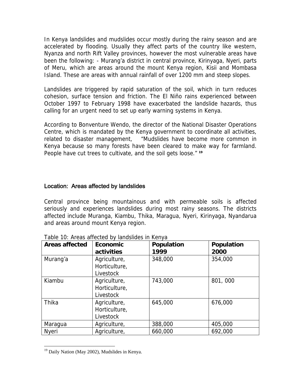<span id="page-37-0"></span>In Kenya landslides and mudslides occur mostly during the rainy season and are accelerated by flooding. Usually they affect parts of the country like western, Nyanza and north Rift Valley provinces, however the most vulnerable areas have been the following: - Murang'a district in central province, Kirinyaga, Nyeri, parts of Meru, which are areas around the mount Kenya region, Kisii and Mombasa Island. These are areas with annual rainfall of over 1200 mm and steep slopes.

Landslides are triggered by rapid saturation of the soil, which in turn reduces cohesion, surface tension and friction. The El Niño rains experienced between October 1997 to February 1998 have exacerbated the landslide hazards, thus calling for an urgent need to set up early warning systems in Kenya.

According to Bonventure Wendo, the director of the National Disaster Operations Centre, which is mandated by the Kenya government to coordinate all activities, related to disaster management, "Mudslides have become more common in Kenya because so many forests have been cleared to make way for farmland. People have cut trees to cultivate, and the soil gets loose." **[19](#page-37-0)**

# Location: Areas affected by landslides

Central province being mountainous and with permeable soils is affected seriously and experiences landslides during most rainy seasons. The districts affected include Muranga, Kiambu, Thika, Maragua, Nyeri, Kirinyaga, Nyandarua and areas around mount Kenya region.

| <b>Areas affected</b> | <b>Economic</b><br>activities              | Population<br>1999 | Population<br>2000 |
|-----------------------|--------------------------------------------|--------------------|--------------------|
| Murang'a              | Agriculture,<br>Horticulture,<br>Livestock | 348,000            | 354,000            |
| Kiambu                | Agriculture,<br>Horticulture,<br>Livestock | 743,000            | 801,000            |
| Thika                 | Agriculture,<br>Horticulture,<br>Livestock | 645,000            | 676,000            |
| Maragua               | Agriculture,                               | 388,000            | 405,000            |
| <b>Nyeri</b>          | Agriculture,                               | 660,000            | 692,000            |

Table 10: Areas affected by landslides in Kenya

 $\overline{a}$ 

<sup>&</sup>lt;sup>19</sup> Daily Nation (May 2002), Mudslides in Kenya.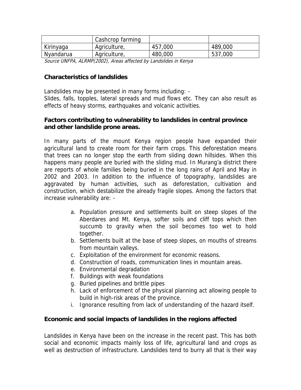|           | Cashcrop farming |         |         |
|-----------|------------------|---------|---------|
| Kirinyaga | Agriculture,     | 457,000 | 489,000 |
| Nyandarua | Agriculture,     | 480,000 | 537,000 |

Source UNFPA, ALRMP(2002), Areas affected by Landslides in Kenya

#### **Characteristics of landslides**

Landslides may be presented in many forms including: - Slides, falls, topples, lateral spreads and mud flows etc. They can also result as effects of heavy storms, earthquakes and volcanic activities.

#### **Factors contributing to vulnerability to landslides in central province and other landslide prone areas.**

In many parts of the mount Kenya region people have expanded their agricultural land to create room for their farm crops. This deforestation means that trees can no longer stop the earth from sliding down hillsides. When this happens many people are buried with the sliding mud. In Murang'a district there are reports of whole families being buried in the long rains of April and May in 2002 and 2003. In addition to the influence of topography, landslides are aggravated by human activities, such as deforestation, cultivation and construction, which destabilize the already fragile slopes. Among the factors that increase vulnerability are: -

- a. Population pressure and settlements built on steep slopes of the Aberdares and Mt. Kenya, softer soils and cliff tops which then succumb to gravity when the soil becomes too wet to hold together.
- b. Settlements built at the base of steep slopes, on mouths of streams from mountain valleys.
- c. Exploitation of the environment for economic reasons.
- d. Construction of roads, communication lines in mountain areas.
- e. Environmental degradation
- f. Buildings with weak foundations
- g. Buried pipelines and brittle pipes
- h. Lack of enforcement of the physical planning act allowing people to build in high-risk areas of the province.
- i. Ignorance resulting from lack of understanding of the hazard itself.

#### **Economic and social impacts of landslides in the regions affected**

Landslides in Kenya have been on the increase in the recent past. This has both social and economic impacts mainly loss of life, agricultural land and crops as well as destruction of infrastructure. Landslides tend to burry all that is their way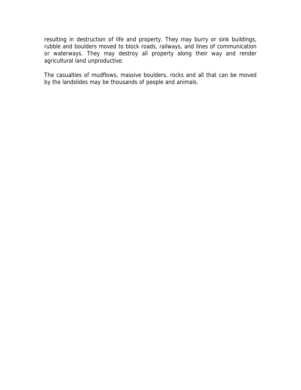resulting in destruction of life and property. They may burry or sink buildings, rubble and boulders moved to block roads, railways, and lines of communication or waterways. They may destroy all property along their way and render agricultural land unproductive.

The casualties of mudflows, massive boulders, rocks and all that can be moved by the landslides may be thousands of people and animals.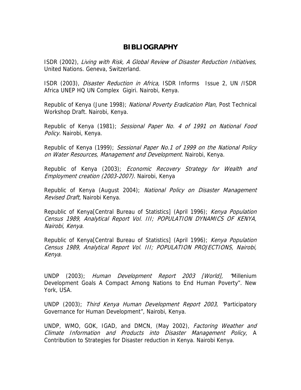# **BIBLIOGRAPHY**

ISDR (2002), Living with Risk, A Global Review of Disaster Reduction Initiatives, United Nations. Geneva, Switzerland.

ISDR (2003), Disaster Reduction in Africa, ISDR Informs Issue 2, UN /ISDR Africa UNEP HQ UN Complex Gigiri. Nairobi, Kenya.

Republic of Kenya (June 1998); National Poverty Eradication Plan, Post Technical Workshop Draft. Nairobi, Kenya.

Republic of Kenya (1981); Sessional Paper No. 4 of 1991 on National Food Policy. Nairobi, Kenya.

Republic of Kenya (1999); Sessional Paper No.1 of 1999 on the National Policy on Water Resources, Management and Development. Nairobi, Kenya.

Republic of Kenya (2003); *Economic Recovery Strategy for Wealth and* Employment creation (2003-2007). Nairobi, Kenya

Republic of Kenya (August 2004); National Policy on Disaster Management Revised Draft, Nairobi Kenya.

Republic of Kenya<sub>[Central Bureau of Statistics] (April 1996); Kenya Population</sub> Census 1989, Analytical Report Vol. III; POPULATION DYNAMICS OF KENYA, Nairobi, Kenya.

Republic of Kenya<sub>[Central Bureau of Statistics] (April 1996); Kenya Population</sub> Census 1989, Analytical Report Vol. III; POPULATION PROJECTIONS, Nairobi, Kenya.

UNDP (2003); Human Development Report 2003 [World], "Millenium Development Goals A Compact Among Nations to End Human Poverty". New York, USA.

UNDP (2003); Third Kenya Human Development Report 2003, "Participatory Governance for Human Development", Nairobi, Kenya.

UNDP, WMO, GOK, IGAD, and DMCN, (May 2002), Factoring Weather and Climate Information and Products into Disaster Management Policy, A Contribution to Strategies for Disaster reduction in Kenya. Nairobi Kenya.